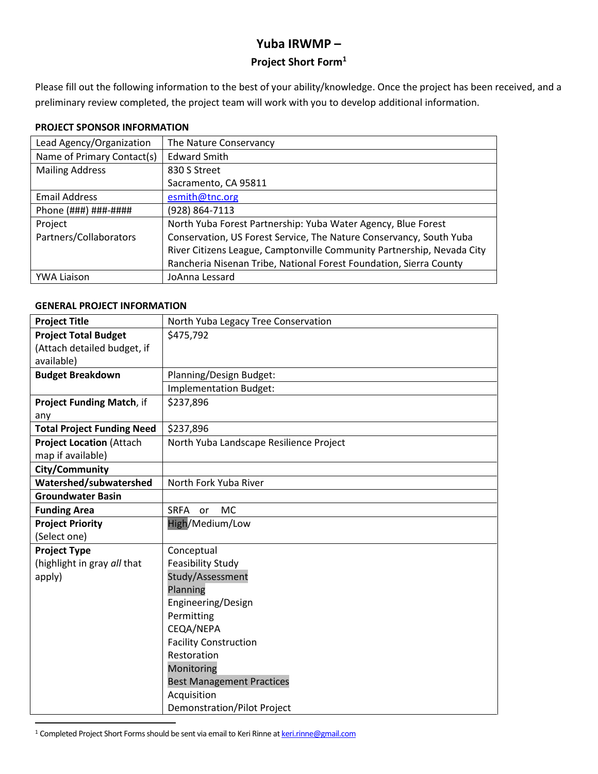# **Yuba IRWMP –**

## **Project Short Form<sup>1</sup>**

Please fill out the following information to the best of your ability/knowledge. Once the project has been received, and a preliminary review completed, the project team will work with you to develop additional information.

#### **PROJECT SPONSOR INFORMATION**

| Lead Agency/Organization   | The Nature Conservancy                                                 |
|----------------------------|------------------------------------------------------------------------|
| Name of Primary Contact(s) | <b>Edward Smith</b>                                                    |
| <b>Mailing Address</b>     | 830 S Street                                                           |
|                            | Sacramento, CA 95811                                                   |
| <b>Email Address</b>       | esmith@tnc.org                                                         |
| Phone (###) ###-####       | (928) 864-7113                                                         |
| Project                    | North Yuba Forest Partnership: Yuba Water Agency, Blue Forest          |
| Partners/Collaborators     | Conservation, US Forest Service, The Nature Conservancy, South Yuba    |
|                            | River Citizens League, Camptonville Community Partnership, Nevada City |
|                            | Rancheria Nisenan Tribe, National Forest Foundation, Sierra County     |
| <b>YWA Liaison</b>         | JoAnna Lessard                                                         |

#### **GENERAL PROJECT INFORMATION**

| <b>Project Title</b>              | North Yuba Legacy Tree Conservation     |  |  |
|-----------------------------------|-----------------------------------------|--|--|
| <b>Project Total Budget</b>       | \$475,792                               |  |  |
| (Attach detailed budget, if       |                                         |  |  |
| available)                        |                                         |  |  |
| <b>Budget Breakdown</b>           | Planning/Design Budget:                 |  |  |
|                                   | Implementation Budget:                  |  |  |
| Project Funding Match, if         | \$237,896                               |  |  |
| any                               |                                         |  |  |
| <b>Total Project Funding Need</b> | \$237,896                               |  |  |
| <b>Project Location (Attach</b>   | North Yuba Landscape Resilience Project |  |  |
| map if available)                 |                                         |  |  |
| City/Community                    |                                         |  |  |
| Watershed/subwatershed            | North Fork Yuba River                   |  |  |
| <b>Groundwater Basin</b>          |                                         |  |  |
| <b>Funding Area</b>               | <b>MC</b><br>SRFA or                    |  |  |
| <b>Project Priority</b>           | High/Medium/Low                         |  |  |
| (Select one)                      |                                         |  |  |
| <b>Project Type</b>               | Conceptual                              |  |  |
| (highlight in gray all that       | <b>Feasibility Study</b>                |  |  |
| apply)                            | Study/Assessment                        |  |  |
|                                   | Planning                                |  |  |
|                                   | Engineering/Design                      |  |  |
|                                   | Permitting                              |  |  |
|                                   | CEQA/NEPA                               |  |  |
|                                   | <b>Facility Construction</b>            |  |  |
|                                   | Restoration                             |  |  |
|                                   | Monitoring                              |  |  |
|                                   | <b>Best Management Practices</b>        |  |  |
|                                   | Acquisition                             |  |  |
|                                   | <b>Demonstration/Pilot Project</b>      |  |  |

<sup>1</sup> Completed Project Short Forms should be sent via email to Keri Rinne a[t keri.rinne@gmail.com](mailto:keri.rinne@gmail.com)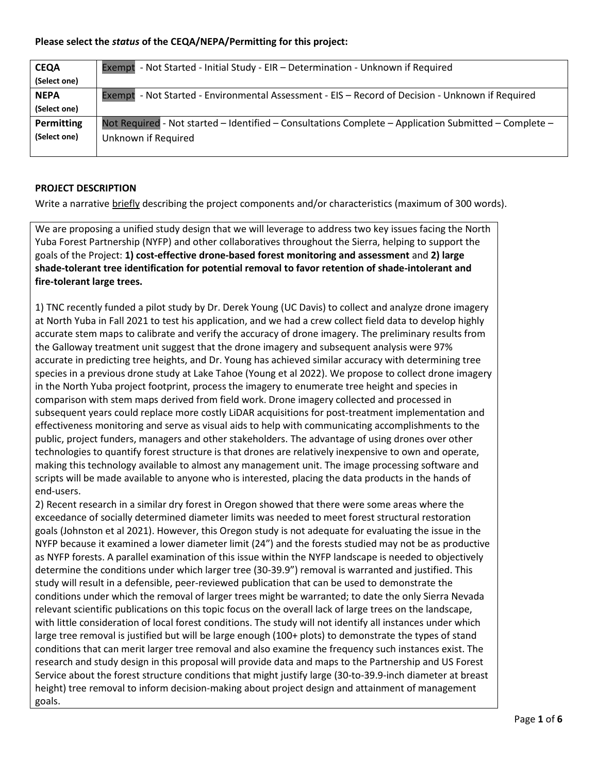#### **Please select the** *status* **of the CEQA/NEPA/Permitting for this project:**

| <b>CEQA</b>  | Exempt - Not Started - Initial Study - EIR - Determination - Unknown if Required                      |
|--------------|-------------------------------------------------------------------------------------------------------|
| (Select one) |                                                                                                       |
| <b>NEPA</b>  | Exempt - Not Started - Environmental Assessment - EIS - Record of Decision - Unknown if Required      |
| (Select one) |                                                                                                       |
| Permitting   | Not Required - Not started – Identified – Consultations Complete – Application Submitted – Complete – |
| (Select one) | Unknown if Required                                                                                   |
|              |                                                                                                       |

#### **PROJECT DESCRIPTION**

Write a narrative briefly describing the project components and/or characteristics (maximum of 300 words).

We are proposing a unified study design that we will leverage to address two key issues facing the North Yuba Forest Partnership (NYFP) and other collaboratives throughout the Sierra, helping to support the goals of the Project: **1) cost-effective drone-based forest monitoring and assessment** and **2) large shade-tolerant tree identification for potential removal to favor retention of shade-intolerant and fire-tolerant large trees.**

1) TNC recently funded a pilot study by Dr. Derek Young (UC Davis) to collect and analyze drone imagery at North Yuba in Fall 2021 to test his application, and we had a crew collect field data to develop highly accurate stem maps to calibrate and verify the accuracy of drone imagery. The preliminary results from the Galloway treatment unit suggest that the drone imagery and subsequent analysis were 97% accurate in predicting tree heights, and Dr. Young has achieved similar accuracy with determining tree species in a previous drone study at Lake Tahoe (Young et al 2022). We propose to collect drone imagery in the North Yuba project footprint, process the imagery to enumerate tree height and species in comparison with stem maps derived from field work. Drone imagery collected and processed in subsequent years could replace more costly LiDAR acquisitions for post-treatment implementation and effectiveness monitoring and serve as visual aids to help with communicating accomplishments to the public, project funders, managers and other stakeholders. The advantage of using drones over other technologies to quantify forest structure is that drones are relatively inexpensive to own and operate, making this technology available to almost any management unit. The image processing software and scripts will be made available to anyone who is interested, placing the data products in the hands of end-users.

2) Recent research in a similar dry forest in Oregon showed that there were some areas where the exceedance of socially determined diameter limits was needed to meet forest structural restoration goals (Johnston et al 2021). However, this Oregon study is not adequate for evaluating the issue in the NYFP because it examined a lower diameter limit (24") and the forests studied may not be as productive as NYFP forests. A parallel examination of this issue within the NYFP landscape is needed to objectively determine the conditions under which larger tree (30-39.9") removal is warranted and justified. This study will result in a defensible, peer-reviewed publication that can be used to demonstrate the conditions under which the removal of larger trees might be warranted; to date the only Sierra Nevada relevant scientific publications on this topic focus on the overall lack of large trees on the landscape, with little consideration of local forest conditions. The study will not identify all instances under which large tree removal is justified but will be large enough (100+ plots) to demonstrate the types of stand conditions that can merit larger tree removal and also examine the frequency such instances exist. The research and study design in this proposal will provide data and maps to the Partnership and US Forest Service about the forest structure conditions that might justify large (30-to-39.9-inch diameter at breast height) tree removal to inform decision-making about project design and attainment of management goals.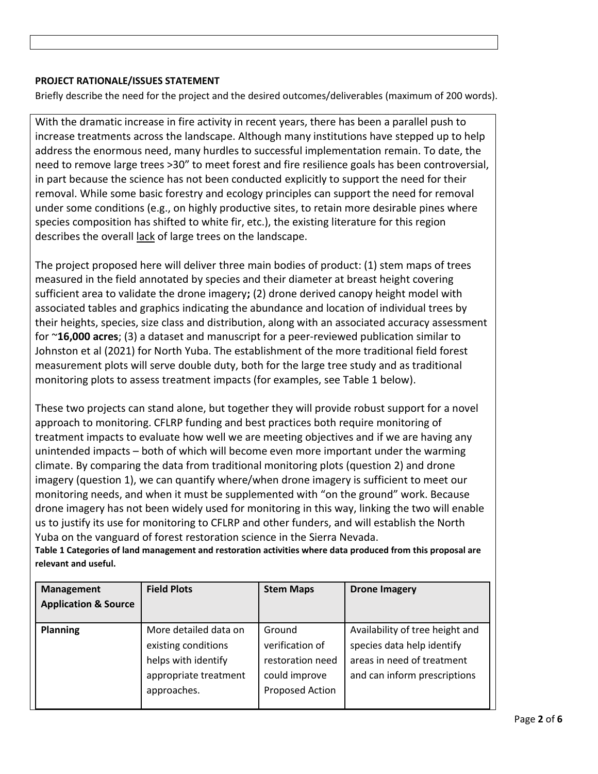### **PROJECT RATIONALE/ISSUES STATEMENT**

Briefly describe the need for the project and the desired outcomes/deliverables (maximum of 200 words).

With the dramatic increase in fire activity in recent years, there has been a parallel push to increase treatments across the landscape. Although many institutions have stepped up to help address the enormous need, many hurdles to successful implementation remain. To date, the need to remove large trees >30" to meet forest and fire resilience goals has been controversial, in part because the science has not been conducted explicitly to support the need for their removal. While some basic forestry and ecology principles can support the need for removal under some conditions (e.g., on highly productive sites, to retain more desirable pines where species composition has shifted to white fir, etc.), the existing literature for this region describes the overall lack of large trees on the landscape.

The project proposed here will deliver three main bodies of product: (1) stem maps of trees measured in the field annotated by species and their diameter at breast height covering sufficient area to validate the drone imagery**;** (2) drone derived canopy height model with associated tables and graphics indicating the abundance and location of individual trees by their heights, species, size class and distribution, along with an associated accuracy assessment for ~**16,000 acres**; (3) a dataset and manuscript for a peer-reviewed publication similar to Johnston et al (2021) for North Yuba. The establishment of the more traditional field forest measurement plots will serve double duty, both for the large tree study and as traditional monitoring plots to assess treatment impacts (for examples, see Table 1 below).

These two projects can stand alone, but together they will provide robust support for a novel approach to monitoring. CFLRP funding and best practices both require monitoring of treatment impacts to evaluate how well we are meeting objectives and if we are having any unintended impacts – both of which will become even more important under the warming climate. By comparing the data from traditional monitoring plots (question 2) and drone imagery (question 1), we can quantify where/when drone imagery is sufficient to meet our monitoring needs, and when it must be supplemented with "on the ground" work. Because drone imagery has not been widely used for monitoring in this way, linking the two will enable us to justify its use for monitoring to CFLRP and other funders, and will establish the North Yuba on the vanguard of forest restoration science in the Sierra Nevada.

**Table 1 Categories of land management and restoration activities where data produced from this proposal are relevant and useful.**

| Management<br><b>Application &amp; Source</b> | <b>Field Plots</b>                                                                                          | <b>Stem Maps</b>                                                                  | <b>Drone Imagery</b>                                                                                                        |
|-----------------------------------------------|-------------------------------------------------------------------------------------------------------------|-----------------------------------------------------------------------------------|-----------------------------------------------------------------------------------------------------------------------------|
| <b>Planning</b>                               | More detailed data on<br>existing conditions<br>helps with identify<br>appropriate treatment<br>approaches. | Ground<br>verification of<br>restoration need<br>could improve<br>Proposed Action | Availability of tree height and<br>species data help identify<br>areas in need of treatment<br>and can inform prescriptions |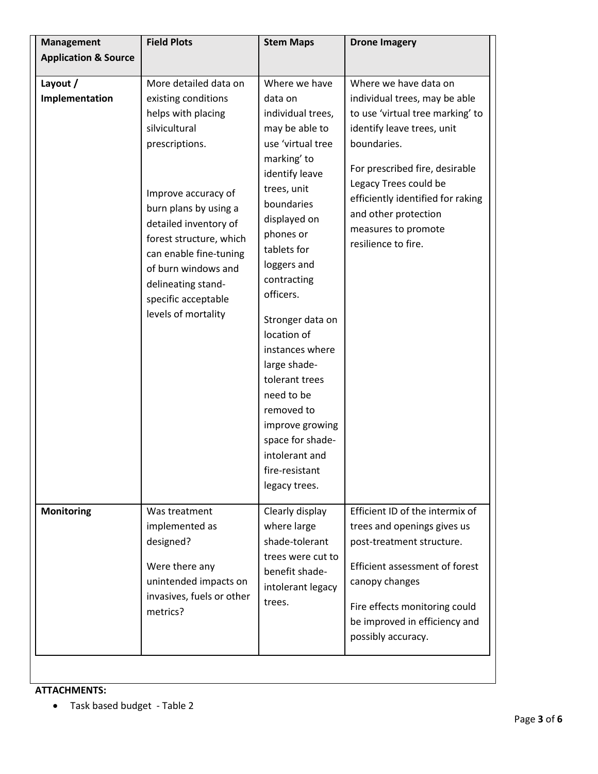| <b>Management</b>               | <b>Field Plots</b>                                                                                                                                                                                                                                                                                                             | <b>Stem Maps</b>                                                                                                                                                                                                                                                                                                                                                                                                                                          | <b>Drone Imagery</b>                                                                                                                                                                                                                                                                                          |  |
|---------------------------------|--------------------------------------------------------------------------------------------------------------------------------------------------------------------------------------------------------------------------------------------------------------------------------------------------------------------------------|-----------------------------------------------------------------------------------------------------------------------------------------------------------------------------------------------------------------------------------------------------------------------------------------------------------------------------------------------------------------------------------------------------------------------------------------------------------|---------------------------------------------------------------------------------------------------------------------------------------------------------------------------------------------------------------------------------------------------------------------------------------------------------------|--|
| <b>Application &amp; Source</b> |                                                                                                                                                                                                                                                                                                                                |                                                                                                                                                                                                                                                                                                                                                                                                                                                           |                                                                                                                                                                                                                                                                                                               |  |
| Layout /<br>Implementation      | More detailed data on<br>existing conditions<br>helps with placing<br>silvicultural<br>prescriptions.<br>Improve accuracy of<br>burn plans by using a<br>detailed inventory of<br>forest structure, which<br>can enable fine-tuning<br>of burn windows and<br>delineating stand-<br>specific acceptable<br>levels of mortality | Where we have<br>data on<br>individual trees,<br>may be able to<br>use 'virtual tree<br>marking' to<br>identify leave<br>trees, unit<br>boundaries<br>displayed on<br>phones or<br>tablets for<br>loggers and<br>contracting<br>officers.<br>Stronger data on<br>location of<br>instances where<br>large shade-<br>tolerant trees<br>need to be<br>removed to<br>improve growing<br>space for shade-<br>intolerant and<br>fire-resistant<br>legacy trees. | Where we have data on<br>individual trees, may be able<br>to use 'virtual tree marking' to<br>identify leave trees, unit<br>boundaries.<br>For prescribed fire, desirable<br>Legacy Trees could be<br>efficiently identified for raking<br>and other protection<br>measures to promote<br>resilience to fire. |  |
| <b>Monitoring</b>               | Was treatment<br>implemented as<br>designed?<br>Were there any<br>unintended impacts on<br>invasives, fuels or other<br>metrics?                                                                                                                                                                                               | Clearly display<br>where large<br>shade-tolerant<br>trees were cut to<br>benefit shade-<br>intolerant legacy<br>trees.                                                                                                                                                                                                                                                                                                                                    | Efficient ID of the intermix of<br>trees and openings gives us<br>post-treatment structure.<br>Efficient assessment of forest<br>canopy changes<br>Fire effects monitoring could<br>be improved in efficiency and<br>possibly accuracy.                                                                       |  |

**ATTACHMENTS:**

• Task based budget - Table 2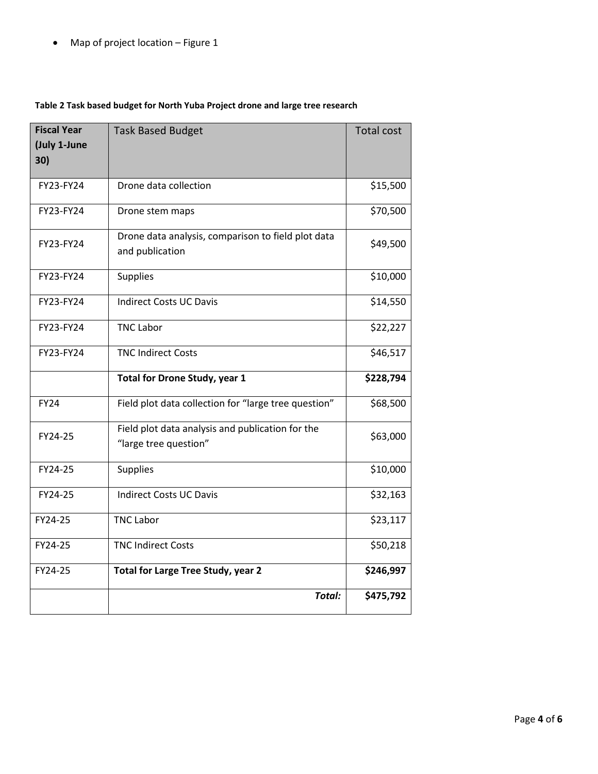• Map of project location – Figure 1

| <b>Fiscal Year</b><br>(July 1-June<br>30) | <b>Task Based Budget</b>                                                  | <b>Total cost</b> |
|-------------------------------------------|---------------------------------------------------------------------------|-------------------|
| FY23-FY24                                 | Drone data collection                                                     | \$15,500          |
| FY23-FY24                                 | Drone stem maps                                                           | \$70,500          |
| FY23-FY24                                 | Drone data analysis, comparison to field plot data<br>and publication     | \$49,500          |
| FY23-FY24                                 | Supplies                                                                  | \$10,000          |
| FY23-FY24                                 | <b>Indirect Costs UC Davis</b>                                            | \$14,550          |
| FY23-FY24                                 | <b>TNC Labor</b>                                                          | \$22,227          |
| FY23-FY24                                 | <b>TNC Indirect Costs</b>                                                 | \$46,517          |
|                                           | <b>Total for Drone Study, year 1</b>                                      | \$228,794         |
| <b>FY24</b>                               | Field plot data collection for "large tree question"                      | \$68,500          |
| FY24-25                                   | Field plot data analysis and publication for the<br>"large tree question" | \$63,000          |
| FY24-25                                   | Supplies                                                                  | \$10,000          |
| FY24-25                                   | <b>Indirect Costs UC Davis</b>                                            | \$32,163          |
| FY24-25                                   | <b>TNC Labor</b>                                                          | \$23,117          |
| FY24-25                                   | <b>TNC Indirect Costs</b>                                                 | \$50,218          |
| FY24-25                                   | <b>Total for Large Tree Study, year 2</b>                                 | \$246,997         |
|                                           | <b>Total:</b>                                                             | \$475,792         |

## **Table 2 Task based budget for North Yuba Project drone and large tree research**